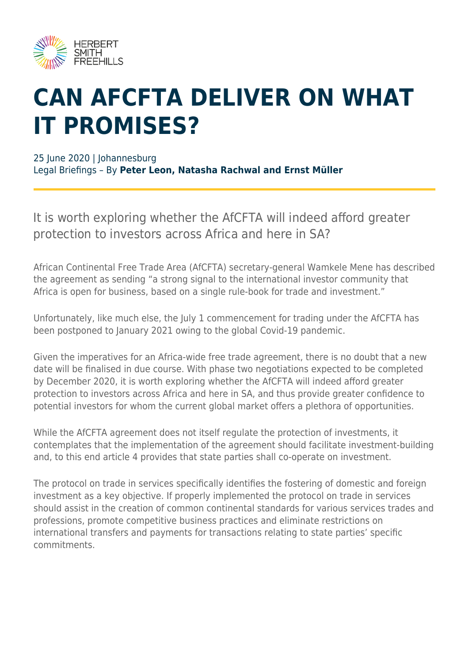

## **CAN AFCFTA DELIVER ON WHAT IT PROMISES?**

25 June 2020 | Johannesburg Legal Briefings – By **Peter Leon, Natasha Rachwal and Ernst Müller**

It is worth exploring whether the AfCFTA will indeed afford greater protection to investors across Africa and here in SA?

African Continental Free Trade Area (AfCFTA) secretary-general Wamkele Mene has described the agreement as sending "a strong signal to the international investor community that Africa is open for business, based on a single rule-book for trade and investment."

Unfortunately, like much else, the July 1 commencement for trading under the AfCFTA has been postponed to January 2021 owing to the global Covid-19 pandemic.

Given the imperatives for an Africa-wide free trade agreement, there is no doubt that a new date will be finalised in due course. With phase two negotiations expected to be completed by December 2020, it is worth exploring whether the AfCFTA will indeed afford greater protection to investors across Africa and here in SA, and thus provide greater confidence to potential investors for whom the current global market offers a plethora of opportunities.

While the AfCFTA agreement does not itself regulate the protection of investments, it contemplates that the implementation of the agreement should facilitate investment-building and, to this end article 4 provides that state parties shall co-operate on investment.

The protocol on trade in services specifically identifies the fostering of domestic and foreign investment as a key objective. If properly implemented the protocol on trade in services should assist in the creation of common continental standards for various services trades and professions, promote competitive business practices and eliminate restrictions on international transfers and payments for transactions relating to state parties' specific commitments.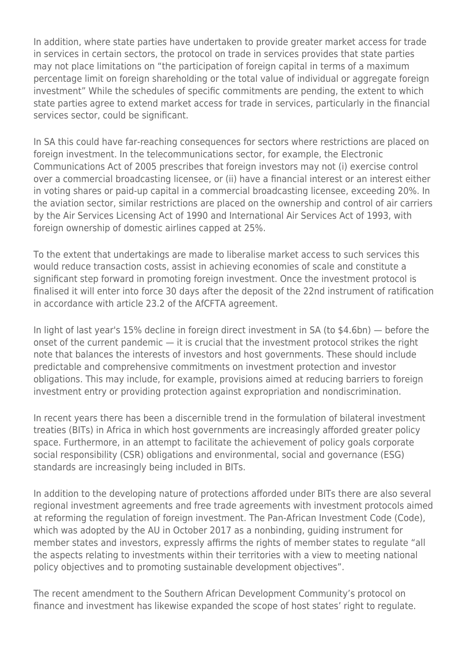In addition, where state parties have undertaken to provide greater market access for trade in services in certain sectors, the protocol on trade in services provides that state parties may not place limitations on "the participation of foreign capital in terms of a maximum percentage limit on foreign shareholding or the total value of individual or aggregate foreign investment" While the schedules of specific commitments are pending, the extent to which state parties agree to extend market access for trade in services, particularly in the financial services sector, could be significant.

In SA this could have far-reaching consequences for sectors where restrictions are placed on foreign investment. In the telecommunications sector, for example, the Electronic Communications Act of 2005 prescribes that foreign investors may not (i) exercise control over a commercial broadcasting licensee, or (ii) have a financial interest or an interest either in voting shares or paid-up capital in a commercial broadcasting licensee, exceeding 20%. In the aviation sector, similar restrictions are placed on the ownership and control of air carriers by the Air Services Licensing Act of 1990 and International Air Services Act of 1993, with foreign ownership of domestic airlines capped at 25%.

To the extent that undertakings are made to liberalise market access to such services this would reduce transaction costs, assist in achieving economies of scale and constitute a significant step forward in promoting foreign investment. Once the investment protocol is finalised it will enter into force 30 days after the deposit of the 22nd instrument of ratification in accordance with article 23.2 of the AfCFTA agreement.

In light of last year's 15% decline in foreign direct investment in SA (to \$4.6bn) — before the onset of the current pandemic — it is crucial that the investment protocol strikes the right note that balances the interests of investors and host governments. These should include predictable and comprehensive commitments on investment protection and investor obligations. This may include, for example, provisions aimed at reducing barriers to foreign investment entry or providing protection against expropriation and nondiscrimination.

In recent years there has been a discernible trend in the formulation of bilateral investment treaties (BITs) in Africa in which host governments are increasingly afforded greater policy space. Furthermore, in an attempt to facilitate the achievement of policy goals corporate social responsibility (CSR) obligations and environmental, social and governance (ESG) standards are increasingly being included in BITs.

In addition to the developing nature of protections afforded under BITs there are also several regional investment agreements and free trade agreements with investment protocols aimed at reforming the regulation of foreign investment. The Pan-African Investment Code (Code), which was adopted by the AU in October 2017 as a nonbinding, guiding instrument for member states and investors, expressly affirms the rights of member states to regulate "all the aspects relating to investments within their territories with a view to meeting national policy objectives and to promoting sustainable development objectives".

The recent amendment to the Southern African Development Community's protocol on finance and investment has likewise expanded the scope of host states' right to regulate.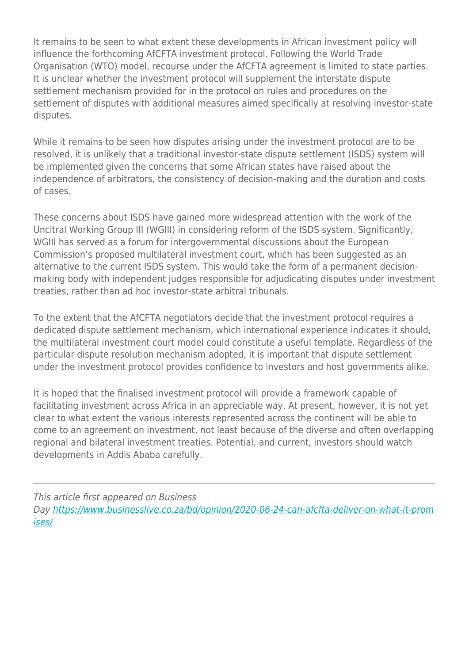It remains to be seen to what extent these developments in African investment policy will influence the forthcoming AfCFTA investment protocol. Following the World Trade Organisation (WTO) model, recourse under the AfCFTA agreement is limited to state parties. It is unclear whether the investment protocol will supplement the interstate dispute settlement mechanism provided for in the protocol on rules and procedures on the settlement of disputes with additional measures aimed specifically at resolving investor-state disputes.

While it remains to be seen how disputes arising under the investment protocol are to be resolved, it is unlikely that a traditional investor-state dispute settlement (ISDS) system will be implemented given the concerns that some African states have raised about the independence of arbitrators, the consistency of decision-making and the duration and costs of cases.

These concerns about ISDS have gained more widespread attention with the work of the Uncitral Working Group III (WGIII) in considering reform of the ISDS system. Significantly, WGIII has served as a forum for intergovernmental discussions about the European Commission's proposed multilateral investment court, which has been suggested as an alternative to the current ISDS system. This would take the form of a permanent decisionmaking body with independent judges responsible for adjudicating disputes under investment treaties, rather than ad hoc investor-state arbitral tribunals.

To the extent that the AfCFTA negotiators decide that the investment protocol requires a dedicated dispute settlement mechanism, which international experience indicates it should, the multilateral investment court model could constitute a useful template. Regardless of the particular dispute resolution mechanism adopted, it is important that dispute settlement under the investment protocol provides confidence to investors and host governments alike.

It is hoped that the finalised investment protocol will provide a framework capable of facilitating investment across Africa in an appreciable way. At present, however, it is not yet clear to what extent the various interests represented across the continent will be able to come to an agreement on investment, not least because of the diverse and often overlapping regional and bilateral investment treaties. Potential, and current, investors should watch developments in Addis Ababa carefully.

This article first appeared on Business Day [https://www.businesslive.co.za/bd/opinion/2020-06-24-can-afcfta-deliver-on-what-it-prom](https://www.businesslive.co.za/bd/opinion/2020-06-24-can-afcfta-deliver-on-what-it-promises/) [ises/](https://www.businesslive.co.za/bd/opinion/2020-06-24-can-afcfta-deliver-on-what-it-promises/)